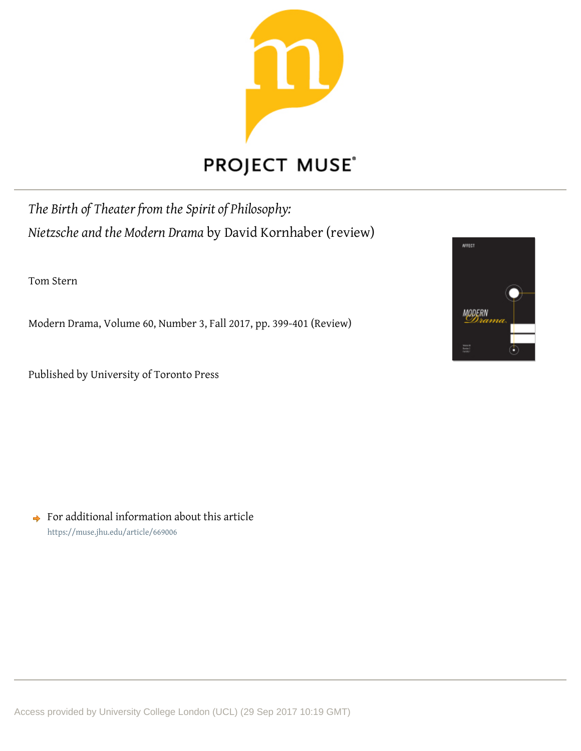

## **PROJECT MUSE®**

*The Birth of Theater from the Spirit of Philosophy: Nietzsche and the Modern Drama* by David Kornhaber (review)

Tom Stern

Modern Drama, Volume 60, Number 3, Fall 2017, pp. 399-401 (Review)

Published by University of Toronto Press



 $\rightarrow$  For additional information about this article https://muse.jhu.edu/article/669006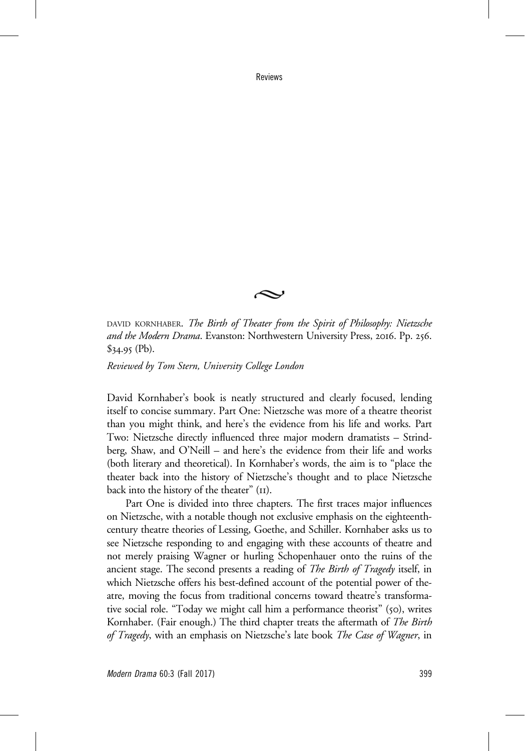Reviews



DAVID KORNHABER. The Birth of Theater from the Spirit of Philosophy: Nietzsche and the Modern Drama. Evanston: Northwestern University Press, 2016. Pp. 256.  $$34.95$  (Pb).

Reviewed by Tom Stern, University College London

David Kornhaber's book is neatly structured and clearly focused, lending itself to concise summary. Part One: Nietzsche was more of a theatre theorist than you might think, and here's the evidence from his life and works. Part Two: Nietzsche directly influenced three major modern dramatists – Strindberg, Shaw, and O'Neill – and here's the evidence from their life and works (both literary and theoretical). In Kornhaber's words, the aim is to "place the theater back into the history of Nietzsche's thought and to place Nietzsche back into the history of the theater" (11).

Part One is divided into three chapters. The first traces major influences on Nietzsche, with a notable though not exclusive emphasis on the eighteenthcentury theatre theories of Lessing, Goethe, and Schiller. Kornhaber asks us to see Nietzsche responding to and engaging with these accounts of theatre and not merely praising Wagner or hurling Schopenhauer onto the ruins of the ancient stage. The second presents a reading of *The Birth of Tragedy* itself, in which Nietzsche offers his best-defined account of the potential power of theatre, moving the focus from traditional concerns toward theatre's transformative social role. "Today we might call him a performance theorist" (50), writes Kornhaber. (Fair enough.) The third chapter treats the aftermath of *The Birth* of Tragedy, with an emphasis on Nietzsche's late book *The Case of Wagner*, in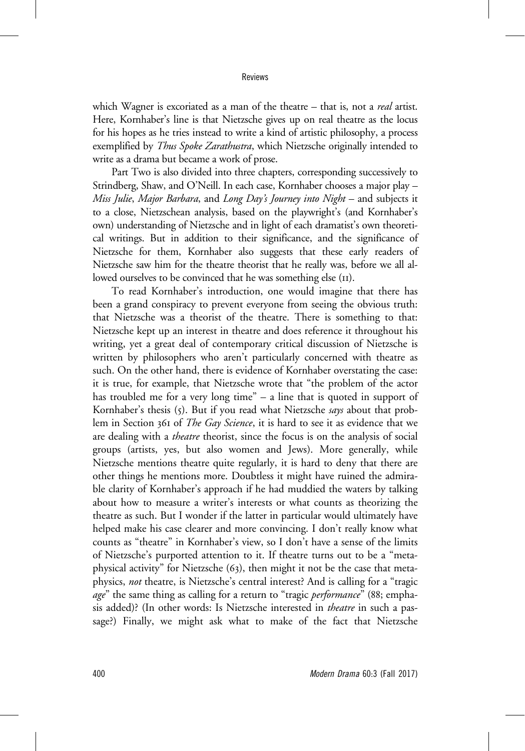## Reviews

which Wagner is excoriated as a man of the theatre – that is, not a *real* artist. Here, Kornhaber's line is that Nietzsche gives up on real theatre as the locus for his hopes as he tries instead to write a kind of artistic philosophy, a process exemplified by Thus Spoke Zarathustra, which Nietzsche originally intended to write as a drama but became a work of prose.

Part Two is also divided into three chapters, corresponding successively to Strindberg, Shaw, and O'Neill. In each case, Kornhaber chooses a major play – Miss Julie, Major Barbara, and Long Day's Journey into Night - and subjects it to a close, Nietzschean analysis, based on the playwright's (and Kornhaber's own) understanding of Nietzsche and in light of each dramatist's own theoretical writings. But in addition to their significance, and the significance of Nietzsche for them, Kornhaber also suggests that these early readers of Nietzsche saw him for the theatre theorist that he really was, before we all allowed ourselves to be convinced that he was something else (11).

To read Kornhaber's introduction, one would imagine that there has been a grand conspiracy to prevent everyone from seeing the obvious truth: that Nietzsche was a theorist of the theatre. There is something to that: Nietzsche kept up an interest in theatre and does reference it throughout his writing, yet a great deal of contemporary critical discussion of Nietzsche is written by philosophers who aren't particularly concerned with theatre as such. On the other hand, there is evidence of Kornhaber overstating the case: it is true, for example, that Nietzsche wrote that "the problem of the actor has troubled me for a very long time" – a line that is quoted in support of Kornhaber's thesis (5). But if you read what Nietzsche says about that problem in Section 361 of *The Gay Science*, it is hard to see it as evidence that we are dealing with a theatre theorist, since the focus is on the analysis of social groups (artists, yes, but also women and Jews). More generally, while Nietzsche mentions theatre quite regularly, it is hard to deny that there are other things he mentions more. Doubtless it might have ruined the admirable clarity of Kornhaber's approach if he had muddied the waters by talking about how to measure a writer's interests or what counts as theorizing the theatre as such. But I wonder if the latter in particular would ultimately have helped make his case clearer and more convincing. I don't really know what counts as "theatre" in Kornhaber's view, so I don't have a sense of the limits of Nietzsche's purported attention to it. If theatre turns out to be a "metaphysical activity" for Nietzsche (63), then might it not be the case that metaphysics, not theatre, is Nietzsche's central interest? And is calling for a "tragic age" the same thing as calling for a return to "tragic *performance*" (88; emphasis added)? (In other words: Is Nietzsche interested in theatre in such a passage?) Finally, we might ask what to make of the fact that Nietzsche